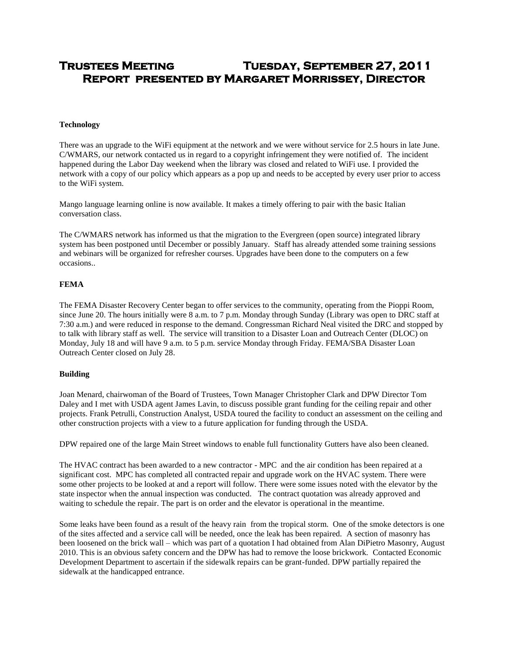# **Trustees Meeting Tuesday, September 27, 2011 Report presented by Margaret Morrissey, Director**

# **Technology**

There was an upgrade to the WiFi equipment at the network and we were without service for 2.5 hours in late June. C/WMARS, our network contacted us in regard to a copyright infringement they were notified of. The incident happened during the Labor Day weekend when the library was closed and related to WiFi use. I provided the network with a copy of our policy which appears as a pop up and needs to be accepted by every user prior to access to the WiFi system.

Mango language learning online is now available. It makes a timely offering to pair with the basic Italian conversation class.

The C/WMARS network has informed us that the migration to the Evergreen (open source) integrated library system has been postponed until December or possibly January. Staff has already attended some training sessions and webinars will be organized for refresher courses. Upgrades have been done to the computers on a few occasions..

# **FEMA**

The FEMA Disaster Recovery Center began to offer services to the community, operating from the Pioppi Room, since June 20. The hours initially were 8 a.m. to 7 p.m. Monday through Sunday (Library was open to DRC staff at 7:30 a.m.) and were reduced in response to the demand. Congressman Richard Neal visited the DRC and stopped by to talk with library staff as well. The service will transition to a Disaster Loan and Outreach Center (DLOC) on Monday, July 18 and will have 9 a.m. to 5 p.m. service Monday through Friday. FEMA/SBA Disaster Loan Outreach Center closed on July 28.

#### **Building**

Joan Menard, chairwoman of the Board of Trustees, Town Manager Christopher Clark and DPW Director Tom Daley and I met with USDA agent James Lavin, to discuss possible grant funding for the ceiling repair and other projects. Frank Petrulli, Construction Analyst, USDA toured the facility to conduct an assessment on the ceiling and other construction projects with a view to a future application for funding through the USDA.

DPW repaired one of the large Main Street windows to enable full functionality Gutters have also been cleaned.

The HVAC contract has been awarded to a new contractor - MPC and the air condition has been repaired at a significant cost. MPC has completed all contracted repair and upgrade work on the HVAC system. There were some other projects to be looked at and a report will follow. There were some issues noted with the elevator by the state inspector when the annual inspection was conducted. The contract quotation was already approved and waiting to schedule the repair. The part is on order and the elevator is operational in the meantime.

Some leaks have been found as a result of the heavy rain from the tropical storm. One of the smoke detectors is one of the sites affected and a service call will be needed, once the leak has been repaired. A section of masonry has been loosened on the brick wall – which was part of a quotation I had obtained from Alan DiPietro Masonry, August 2010. This is an obvious safety concern and the DPW has had to remove the loose brickwork. Contacted Economic Development Department to ascertain if the sidewalk repairs can be grant-funded. DPW partially repaired the sidewalk at the handicapped entrance.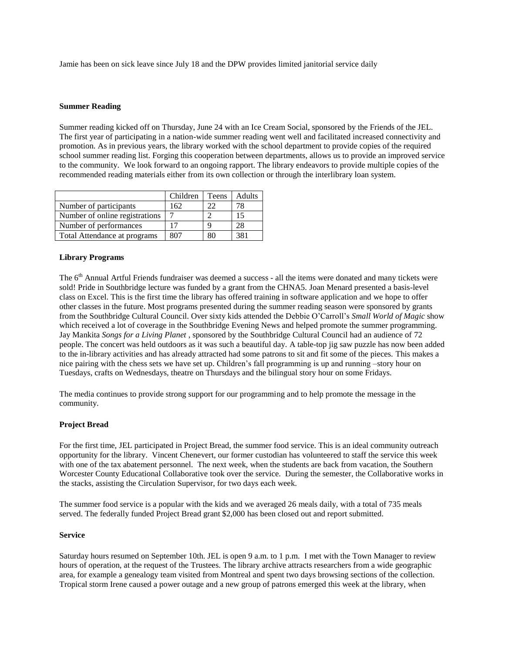Jamie has been on sick leave since July 18 and the DPW provides limited janitorial service daily

#### **Summer Reading**

Summer reading kicked off on Thursday, June 24 with an Ice Cream Social, sponsored by the Friends of the JEL. The first year of participating in a nation-wide summer reading went well and facilitated increased connectivity and promotion. As in previous years, the library worked with the school department to provide copies of the required school summer reading list. Forging this cooperation between departments, allows us to provide an improved service to the community. We look forward to an ongoing rapport. The library endeavors to provide multiple copies of the recommended reading materials either from its own collection or through the interlibrary loan system.

|                                | Children | Teens | Adults |
|--------------------------------|----------|-------|--------|
| Number of participants         | 62       |       | 78     |
| Number of online registrations |          |       | 15     |
| Number of performances         |          | q     | 28     |
| Total Attendance at programs   |          |       | 381    |

# **Library Programs**

The 6<sup>th</sup> Annual Artful Friends fundraiser was deemed a success - all the items were donated and many tickets were sold! Pride in Southbridge lecture was funded by a grant from the CHNA5. Joan Menard presented a basis-level class on Excel. This is the first time the library has offered training in software application and we hope to offer other classes in the future. Most programs presented during the summer reading season were sponsored by grants from the Southbridge Cultural Council. Over sixty kids attended the Debbie O'Carroll's *Small World of Magic* show which received a lot of coverage in the Southbridge Evening News and helped promote the summer programming. Jay Mankita *Songs for a Living Planet* , sponsored by the Southbridge Cultural Council had an audience of 72 people. The concert was held outdoors as it was such a beautiful day. A table-top jig saw puzzle has now been added to the in-library activities and has already attracted had some patrons to sit and fit some of the pieces. This makes a nice pairing with the chess sets we have set up. Children's fall programming is up and running –story hour on Tuesdays, crafts on Wednesdays, theatre on Thursdays and the bilingual story hour on some Fridays.

The media continues to provide strong support for our programming and to help promote the message in the community.

# **Project Bread**

For the first time, JEL participated in Project Bread, the summer food service. This is an ideal community outreach opportunity for the library. Vincent Chenevert, our former custodian has volunteered to staff the service this week with one of the tax abatement personnel. The next week, when the students are back from vacation, the Southern Worcester County Educational Collaborative took over the service. During the semester, the Collaborative works in the stacks, assisting the Circulation Supervisor, for two days each week.

The summer food service is a popular with the kids and we averaged 26 meals daily, with a total of 735 meals served. The federally funded Project Bread grant \$2,000 has been closed out and report submitted.

#### **Service**

Saturday hours resumed on September 10th. JEL is open 9 a.m. to 1 p.m. I met with the Town Manager to review hours of operation, at the request of the Trustees. The library archive attracts researchers from a wide geographic area, for example a genealogy team visited from Montreal and spent two days browsing sections of the collection. Tropical storm Irene caused a power outage and a new group of patrons emerged this week at the library, when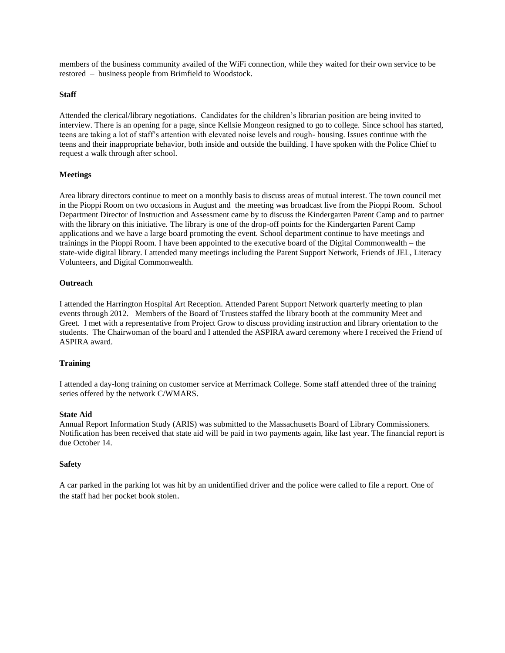members of the business community availed of the WiFi connection, while they waited for their own service to be restored – business people from Brimfield to Woodstock.

#### **Staff**

Attended the clerical/library negotiations. Candidates for the children's librarian position are being invited to interview. There is an opening for a page, since Kellsie Mongeon resigned to go to college. Since school has started, teens are taking a lot of staff's attention with elevated noise levels and rough- housing. Issues continue with the teens and their inappropriate behavior, both inside and outside the building. I have spoken with the Police Chief to request a walk through after school.

# **Meetings**

Area library directors continue to meet on a monthly basis to discuss areas of mutual interest. The town council met in the Pioppi Room on two occasions in August and the meeting was broadcast live from the Pioppi Room. School Department Director of Instruction and Assessment came by to discuss the Kindergarten Parent Camp and to partner with the library on this initiative. The library is one of the drop-off points for the Kindergarten Parent Camp applications and we have a large board promoting the event. School department continue to have meetings and trainings in the Pioppi Room. I have been appointed to the executive board of the Digital Commonwealth – the state-wide digital library. I attended many meetings including the Parent Support Network, Friends of JEL, Literacy Volunteers, and Digital Commonwealth.

# **Outreach**

I attended the Harrington Hospital Art Reception. Attended Parent Support Network quarterly meeting to plan events through 2012. Members of the Board of Trustees staffed the library booth at the community Meet and Greet. I met with a representative from Project Grow to discuss providing instruction and library orientation to the students. The Chairwoman of the board and I attended the ASPIRA award ceremony where I received the Friend of ASPIRA award.

#### **Training**

I attended a day-long training on customer service at Merrimack College. Some staff attended three of the training series offered by the network C/WMARS.

#### **State Aid**

Annual Report Information Study (ARIS) was submitted to the Massachusetts Board of Library Commissioners. Notification has been received that state aid will be paid in two payments again, like last year. The financial report is due October 14.

#### **Safety**

A car parked in the parking lot was hit by an unidentified driver and the police were called to file a report. One of the staff had her pocket book stolen.